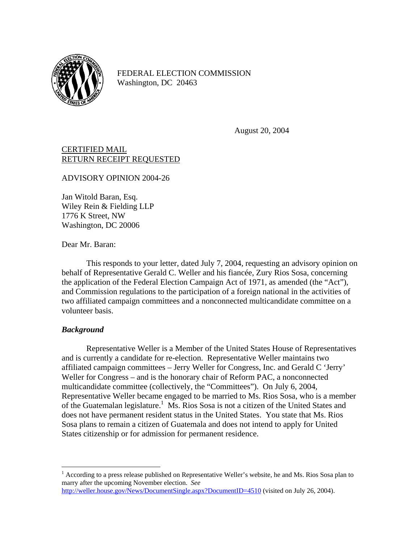

FEDERAL ELECTION COMMISSION Washington, DC 20463

August 20, 2004

CERTIFIED MAIL RETURN RECEIPT REQUESTED

ADVISORY OPINION 2004-26

Jan Witold Baran, Esq. Wiley Rein & Fielding LLP 1776 K Street, NW Washington, DC 20006

Dear Mr. Baran:

This responds to your letter, dated July 7, 2004, requesting an advisory opinion on behalf of Representative Gerald C. Weller and his fiancée, Zury Rios Sosa, concerning the application of the Federal Election Campaign Act of 1971, as amended (the "Act"), and Commission regulations to the participation of a foreign national in the activities of two affiliated campaign committees and a nonconnected multicandidate committee on a volunteer basis.

# *Background*

1

Representative Weller is a Member of the United States House of Representatives and is currently a candidate for re-election. Representative Weller maintains two affiliated campaign committees – Jerry Weller for Congress, Inc. and Gerald C 'Jerry' Weller for Congress – and is the honorary chair of Reform PAC, a nonconnected multicandidate committee (collectively, the "Committees"). On July 6, 2004, Representative Weller became engaged to be married to Ms. Rios Sosa, who is a member of the Guatemalan legislature.<sup>1</sup> Ms. Rios Sosa is not a citizen of the United States and does not have permanent resident status in the United States. You state that Ms. Rios Sosa plans to remain a citizen of Guatemala and does not intend to apply for United States citizenship or for admission for permanent residence.

<span id="page-0-0"></span><sup>1</sup> According to a press release published on Representative Weller's website, he and Ms. Rios Sosa plan to marry after the upcoming November election. *See* <http://weller.house.gov/News/DocumentSingle.aspx?DocumentID=4510>(visited on July 26, 2004).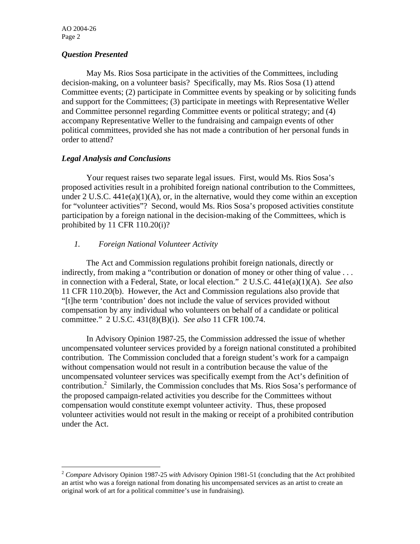AO 2004-26 Page 2

 $\overline{a}$ 

# *Question Presented*

 May Ms. Rios Sosa participate in the activities of the Committees, including decision-making, on a volunteer basis? Specifically, may Ms. Rios Sosa (1) attend Committee events; (2) participate in Committee events by speaking or by soliciting funds and support for the Committees; (3) participate in meetings with Representative Weller and Committee personnel regarding Committee events or political strategy; and (4) accompany Representative Weller to the fundraising and campaign events of other political committees, provided she has not made a contribution of her personal funds in order to attend?

### *Legal Analysis and Conclusions*

 Your request raises two separate legal issues. First, would Ms. Rios Sosa's proposed activities result in a prohibited foreign national contribution to the Committees, under  $2 \text{ U.S.C. } 441e(a)(1)(A)$ , or, in the alternative, would they come within an exception for "volunteer activities"? Second, would Ms. Rios Sosa's proposed activities constitute participation by a foreign national in the decision-making of the Committees, which is prohibited by 11 CFR 110.20(i)?

# *1. Foreign National Volunteer Activity*

The Act and Commission regulations prohibit foreign nationals, directly or indirectly, from making a "contribution or donation of money or other thing of value . . . in connection with a Federal, State, or local election." 2 U.S.C. 441e(a)(1)(A). *See also*  11 CFR 110.20(b). However, the Act and Commission regulations also provide that "[t]he term 'contribution' does not include the value of services provided without compensation by any individual who volunteers on behalf of a candidate or political committee." 2 U.S.C. 431(8)(B)(i). *See also* 11 CFR 100.74.

In Advisory Opinion 1987-25, the Commission addressed the issue of whether uncompensated volunteer services provided by a foreign national constituted a prohibited contribution. The Commission concluded that a foreign student's work for a campaign without compensation would not result in a contribution because the value of the uncompensated volunteer services was specifically exempt from the Act's definition of contribution.<sup>[2](#page-1-0)</sup> Similarly, the Commission concludes that Ms. Rios Sosa's performance of the proposed campaign-related activities you describe for the Committees without compensation would constitute exempt volunteer activity. Thus, these proposed volunteer activities would not result in the making or receipt of a prohibited contribution under the Act.

<span id="page-1-0"></span><sup>2</sup> *Compare* Advisory Opinion 1987-25 *with* Advisory Opinion 1981-51 (concluding that the Act prohibited an artist who was a foreign national from donating his uncompensated services as an artist to create an original work of art for a political committee's use in fundraising).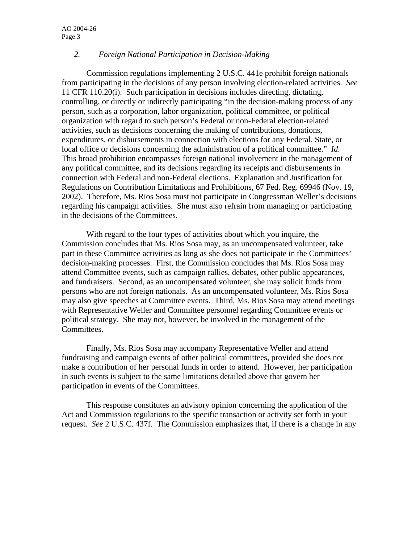# *2. Foreign National Participation in Decision-Making*

Commission regulations implementing 2 U.S.C. 441e prohibit foreign nationals from participating in the decisions of any person involving election-related activities. *See*  11 CFR 110.20(i). Such participation in decisions includes directing, dictating, controlling, or directly or indirectly participating "in the decision-making process of any person, such as a corporation, labor organization, political committee, or political organization with regard to such person's Federal or non-Federal election-related activities, such as decisions concerning the making of contributions, donations, expenditures, or disbursements in connection with elections for any Federal, State, or local office or decisions concerning the administration of a political committee." *Id.* This broad prohibition encompasses foreign national involvement in the management of any political committee, and its decisions regarding its receipts and disbursements in connection with Federal and non-Federal elections. Explanation and Justification for Regulations on Contribution Limitations and Prohibitions, 67 Fed. Reg. 69946 (Nov. 19, 2002). Therefore, Ms. Rios Sosa must not participate in Congressman Weller's decisions regarding his campaign activities. She must also refrain from managing or participating in the decisions of the Committees.

With regard to the four types of activities about which you inquire, the Commission concludes that Ms. Rios Sosa may, as an uncompensated volunteer, take part in these Committee activities as long as she does not participate in the Committees' decision-making processes. First, the Commission concludes that Ms. Rios Sosa may attend Committee events, such as campaign rallies, debates, other public appearances, and fundraisers. Second, as an uncompensated volunteer, she may solicit funds from persons who are not foreign nationals. As an uncompensated volunteer, Ms. Rios Sosa may also give speeches at Committee events. Third, Ms. Rios Sosa may attend meetings with Representative Weller and Committee personnel regarding Committee events or political strategy. She may not, however, be involved in the management of the Committees.

Finally, Ms. Rios Sosa may accompany Representative Weller and attend fundraising and campaign events of other political committees, provided she does not make a contribution of her personal funds in order to attend. However, her participation in such events is subject to the same limitations detailed above that govern her participation in events of the Committees.

This response constitutes an advisory opinion concerning the application of the Act and Commission regulations to the specific transaction or activity set forth in your request. *See* 2 U.S.C. 437f. The Commission emphasizes that, if there is a change in any